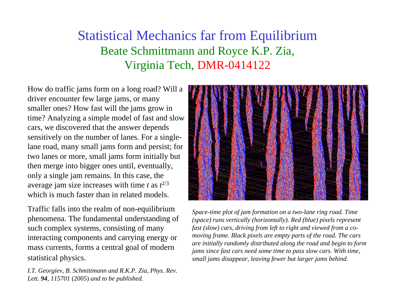## Statistical Mechanics far from Equilibrium Beate Schmittmann and Royce K.P. Zia, Virginia Tech, DMR-0414122

How do traffic jams form on a long road? Will a driver encounter few large jams, or many smaller ones? How fast will the jams grow in time? Analyzing a simple model of fast and slow cars, we discovered that the answer depends sensitively on the number of lanes. For a singlelane road, many small jams form and persist; for two lanes or more, small jams form initially but then merge into bigger ones until, eventually, only a single jam remains. In this case, the average jam size increases with time  $t$  as  $t^{2/3}$ which is much faster than in related models.

Traffic falls into the realm of non-equilibrium phenomena. The fundamental understanding of such complex systems, consisting of many interacting components and carrying energy or mass currents, forms a central goal of modern statistical physics.

*I.T. Georgiev, B. Schmittmann and R.K.P. Zia, Phys. Rev. Lett. 94, 115701* (2005) *and to be published.*



*Space-time plot of jam formation on a two-lane ring road. Time (space) runs vertically (horizontally). Red (blue) pixels represent fast (slow) cars, driving from left to right and viewed from a comoving frame. Black pixels are empty parts of the road. The cars are initially randomly distributed along the road and begin to form jams since fast cars need some time to pass slow cars. With time, small jams disappear, leaving fewer but larger jams behind*.